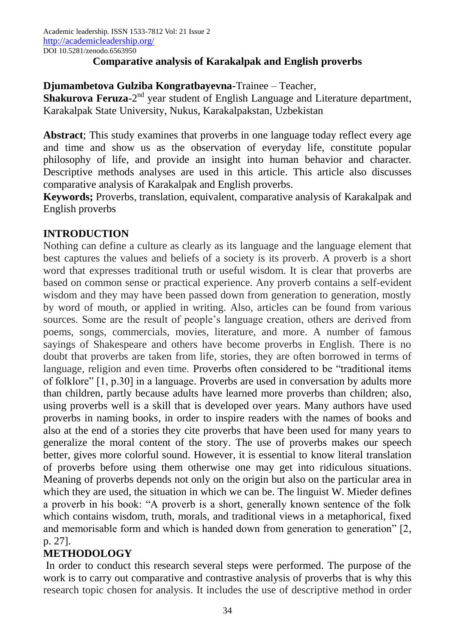## **Comparative analysis of Karakalpak and English proverbs**

## **Djumambetova Gulziba Kongratbayevna-**Trainee – Teacher,

**Shakurova Feruza**-2<sup>nd</sup> year student of English Language and Literature department, Karakalpak State University, Nukus, Karakalpakstan, Uzbekistan

**Abstract**; This study examines that proverbs in one language today reflect every age and time and show us as the observation of everyday life, constitute popular philosophy of life, and provide an insight into human behavior and character. Descriptive methods analyses are used in this article. This article also discusses comparative analysis of Karakalpak and English proverbs.

**Keywords;** Proverbs, translation, equivalent, comparative analysis of Karakalpak and English proverbs

### **INTRODUCTION**

Nothing can define a culture as clearly as its language and the language element that best captures the values and beliefs of a society is its proverb. A proverb is a short word that expresses traditional truth or useful wisdom. It is clear that proverbs are based on common sense or practical experience. Any proverb contains a self-evident wisdom and they may have been passed down from generation to generation, mostly by word of mouth, or applied in writing. Also, articles can be found from various sources. Some are the result of people's language creation, others are derived from poems, songs, commercials, movies, literature, and more. A number of famous sayings of Shakespeare and others have become proverbs in English. There is no doubt that proverbs are taken from life, stories, they are often borrowed in terms of language, religion and even time. Proverbs often considered to be "traditional items of folklore" [1, p.30] in a language. Proverbs are used in conversation by adults more than children, partly because adults have learned more proverbs than children; also, using proverbs well is a skill that is developed over years. Many authors have used proverbs in naming books, in order to inspire readers with the names of books and also at the end of a stories they cite proverbs that have been used for many years to generalize the moral content of the story. The use of proverbs makes our speech better, gives more colorful sound. However, it is essential to know literal translation of proverbs before using them otherwise one may get into ridiculous situations. Meaning of proverbs depends not only on the origin but also on the particular area in which they are used, the situation in which we can be. The linguist W. Mieder defines a proverb in his book: "A proverb is a short, generally known sentence of the folk which contains wisdom, truth, morals, and traditional views in a metaphorical, fixed and memorisable form and which is handed down from generation to generation" [2, p. 27].

# **METHODOLOGY**

In order to conduct this research several steps were performed. The purpose of the work is to carry out comparative and contrastive analysis of proverbs that is why this research topic chosen for analysis. It includes the use of descriptive method in order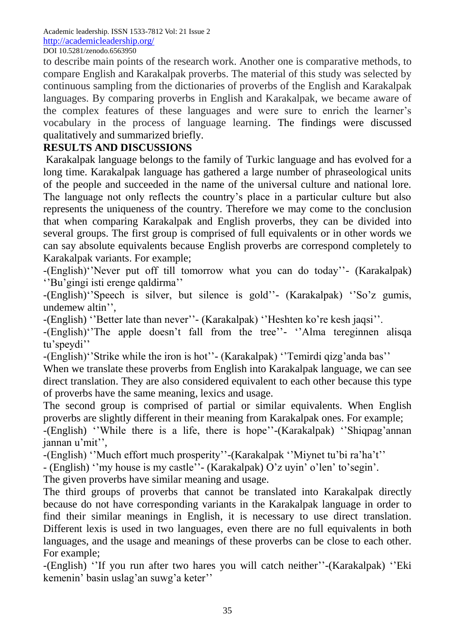Academic leadership. ISSN 1533-7812 Vol: 21 Issue 2 <http://academicleadership.org/> DOI 10.5281/zenodo.6563950

to describe main points of the research work. Another one is comparative methods, to compare English and Karakalpak proverbs. The material of this study was selected by continuous sampling from the dictionaries of proverbs of the English and Karakalpak languages. By comparing proverbs in English and Karakalpak, we became aware of the complex features of these languages and were sure to enrich the learner's vocabulary in the process of language learning. The findings were discussed qualitatively and summarized briefly.

### **RESULTS AND DISCUSSIONS**

Karakalpak language belongs to the family of Turkic language and has evolved for a long time. Karakalpak language has gathered a large number of phraseological units of the people and succeeded in the name of the universal culture and national lore. The language not only reflects the country's place in a particular culture but also represents the uniqueness of the country. Therefore we may come to the conclusion that when comparing Karakalpak and English proverbs, they can be divided into several groups. The first group is comprised of full equivalents or in other words we can say absolute equivalents because English proverbs are correspond completely to Karakalpak variants. For example;

-(English)''Never put off till tomorrow what you can do today''- (Karakalpak) ''Bu'gingi isti erenge qaldirma''

-(English)''Speech is silver, but silence is gold''- (Karakalpak) ''So'z gumis, undemew altin'',

-(English) ''Better late than never''- (Karakalpak) ''Heshten ko're kesh jaqsi''.

-(English)''The apple doesn't fall from the tree''- ''Alma tereginnen alisqa tu'speydi''

-(English)''Strike while the iron is hot''- (Karakalpak) ''Temirdi qizg'anda bas''

When we translate these proverbs from English into Karakalpak language, we can see direct translation. They are also considered equivalent to each other because this type of proverbs have the same meaning, lexics and usage.

The second group is comprised of partial or similar equivalents. When English proverbs are slightly different in their meaning from Karakalpak ones. For example;

-(English) ''While there is a life, there is hope''-(Karakalpak) ''Shiqpag'annan jannan u'mit'',

-(English) ''Much effort much prosperity''-(Karakalpak ''Miynet tu'bi ra'ha't''

- (English) ''my house is my castle''- (Karakalpak) O'z uyin' o'len' to'segin'.

The given proverbs have similar meaning and usage.

The third groups of proverbs that cannot be translated into Karakalpak directly because do not have corresponding variants in the Karakalpak language in order to find their similar meanings in English, it is necessary to use direct translation. Different lexis is used in two languages, even there are no full equivalents in both languages, and the usage and meanings of these proverbs can be close to each other. For example;

-(English) ''If you run after two hares you will catch neither''-(Karakalpak) ''Eki kemenin' basin uslag'an suwg'a keter''